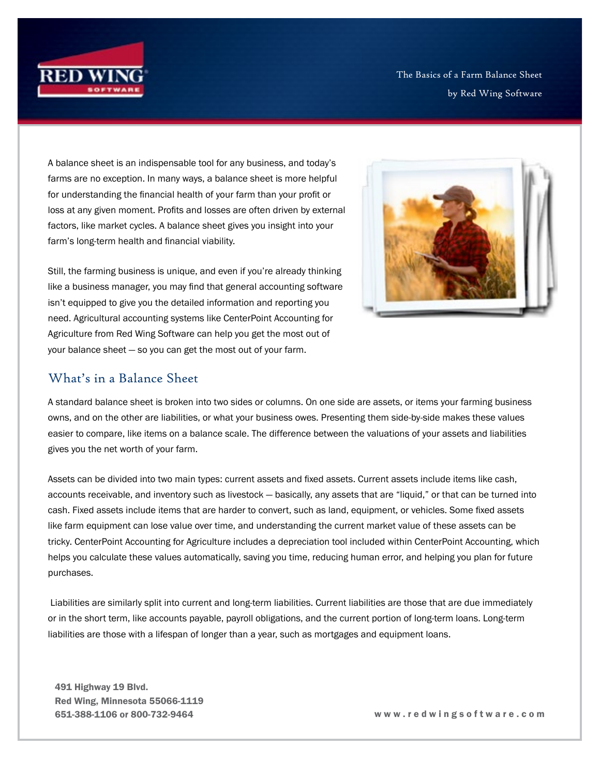

The Basics of a Farm Balance Sheet by Red Wing Software

A balance sheet is an indispensable tool for any business, and today's farms are no exception. In many ways, a balance sheet is more helpful for understanding the financial health of your farm than your profit or loss at any given moment. Profits and losses are often driven by external factors, like market cycles. A balance sheet gives you insight into your farm's long-term health and financial viability.

Still, the farming business is unique, and even if you're already thinking like a business manager, you may find that general accounting software isn't equipped to give you the detailed information and reporting you need. Agricultural accounting systems like CenterPoint Accounting for Agriculture from Red Wing Software can help you get the most out of your balance sheet — so you can get the most out of your farm.



A standard balance sheet is broken into two sides or columns. On one side are assets, or items your farming business owns, and on the other are liabilities, or what your business owes. Presenting them side-by-side makes these values easier to compare, like items on a balance scale. The difference between the valuations of your assets and liabilities gives you the net worth of your farm.

Assets can be divided into two main types: current assets and fixed assets. Current assets include items like cash, accounts receivable, and inventory such as livestock — basically, any assets that are "liquid," or that can be turned into cash. Fixed assets include items that are harder to convert, such as land, equipment, or vehicles. Some fixed assets like farm equipment can lose value over time, and understanding the current market value of these assets can be tricky. CenterPoint Accounting for Agriculture includes a depreciation tool included within CenterPoint Accounting, which helps you calculate these values automatically, saving you time, reducing human error, and helping you plan for future purchases.

 Liabilities are similarly split into current and long-term liabilities. Current liabilities are those that are due immediately or in the short term, like accounts payable, payroll obligations, and the current portion of long-term loans. Long-term liabilities are those with a lifespan of longer than a year, such as mortgages and equipment loans.

491 Highway 19 Blvd. Red Wing, Minnesota 55066-1119